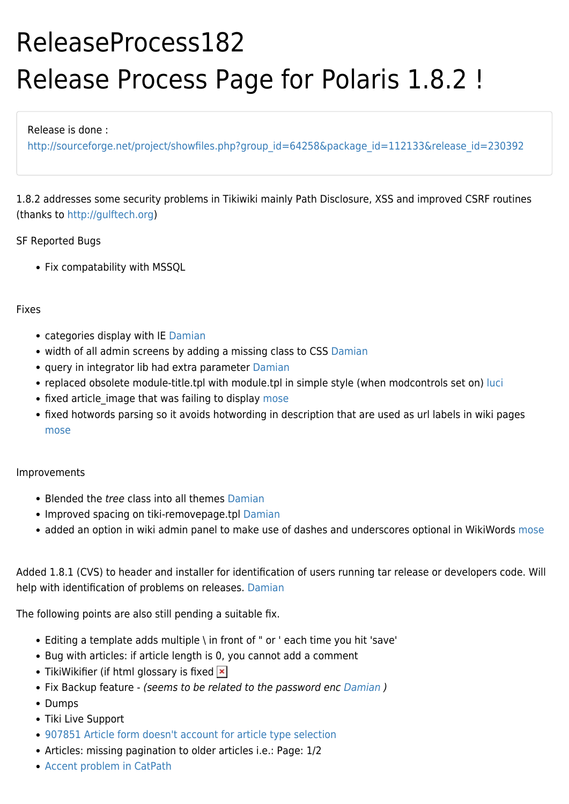# ReleaseProcess182 Release Process Page for Polaris 1.8.2 !

### Release is done :

[http://sourceforge.net/project/showfiles.php?group\\_id=64258&package\\_id=112133&release\\_id=230392](http://sourceforge.net/project/showfiles.php?group_id=64258&package_id=112133&release_id=230392)

1.8.2 addresses some security problems in Tikiwiki mainly Path Disclosure, XSS and improved CSRF routines (thanks to [http://gulftech.org\)](http://gulftech.org)

## SF Reported Bugs

• Fix compatability with MSSQL

## Fixes

- categories display with IE [Damian](https://tiki.org/UserPageDamian)
- width of all admin screens by adding a missing class to CSS [Damian](https://tiki.org/UserPageDamian)
- query in integrator lib had extra parameter [Damian](https://tiki.org/UserPageDamian)
- replaced obsolete module-title.tpl with module.tpl in simple style (when modcontrols set on) [luci](https://tiki.org/UserPageluci)
- fixed article image that was failing to display [mose](https://tiki.org/mose)
- fixed hotwords parsing so it avoids hotwording in description that are used as url labels in wiki pages [mose](https://tiki.org/mose)

## Improvements

- Blended the *tree* class into all themes [Damian](https://tiki.org/UserPageDamian)
- Improved spacing on tiki-removepage.tpl [Damian](https://tiki.org/UserPageDamian)
- added an option in wiki admin panel to make use of dashes and underscores optional in WikiWords [mose](https://tiki.org/mose)

Added 1.8.1 (CVS) to header and installer for identification of users running tar release or developers code. Will help with identification of problems on releases. [Damian](https://tiki.org/UserPageDamian)

The following points are also still pending a suitable fix.

- Editing a template adds multiple \ in front of " or ' each time you hit 'save'
- Bug with articles: if article length is 0, you cannot add a comment
- TikiWikifier (if html glossary is fixed  $\vert \mathbf{x} \vert$
- Fix Backup feature (seems to be related to the password enc [Damian](https://tiki.org/UserPageDamian))
- Dumps
- Tiki Live Support
- [907851 Article form doesn't account for article type selection](https://sourceforge.net/tracker/index.php?func=detail&aid=907851&group_id=64258&atid=506949)
- Articles: missing pagination to older articles i.e.: Page: 1/2
- [Accent problem in CatPath](https://sourceforge.net/tracker/index.php?func=detail&aid=907942&group_id=64258&atid=506846)